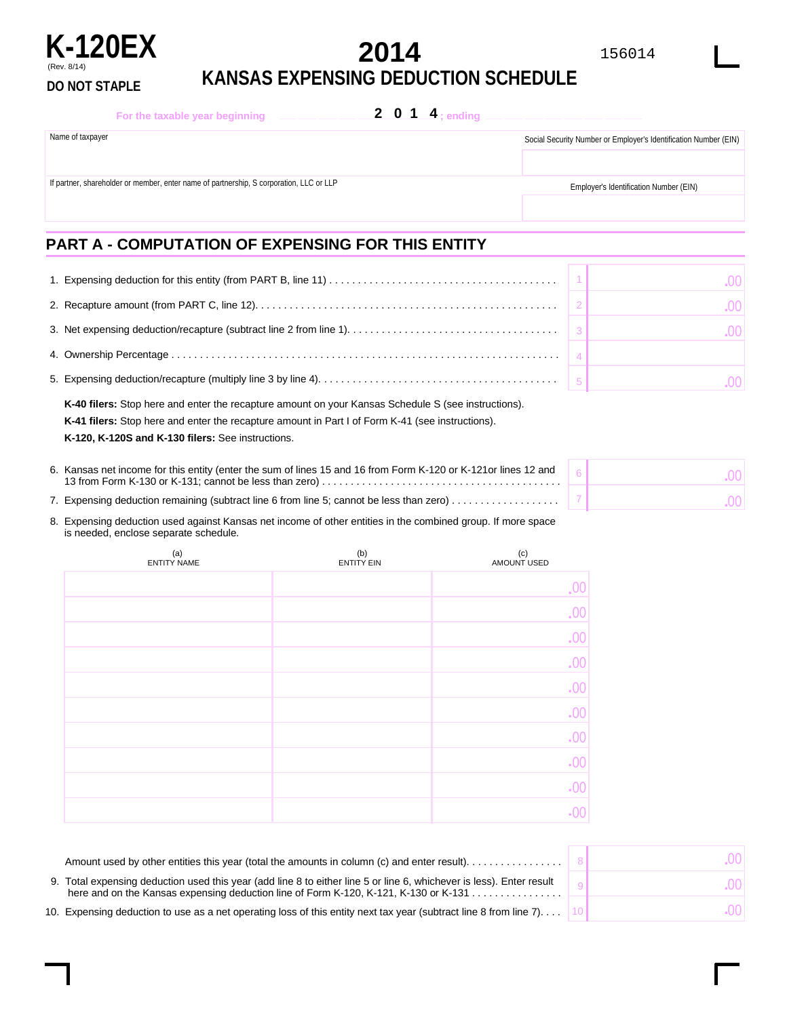

**KANSAS EXPENSING DEDUCTION SCHEDULE DO NOT STAPLE**

| For the taxable year beginning                                                          |  | 2 0 1 4; ending |                                                                  |
|-----------------------------------------------------------------------------------------|--|-----------------|------------------------------------------------------------------|
| Name of taxpayer                                                                        |  |                 | Social Security Number or Employer's Identification Number (EIN) |
|                                                                                         |  |                 |                                                                  |
| If partner, shareholder or member, enter name of partnership, S corporation, LLC or LLP |  |                 | Employer's Identification Number (EIN)                           |
|                                                                                         |  |                 |                                                                  |
|                                                                                         |  |                 |                                                                  |

## **PART A - COMPUTATION OF EXPENSING FOR THIS ENTITY**

(Rev. 8/14)

|                                                                                                                                                      | -001 |
|------------------------------------------------------------------------------------------------------------------------------------------------------|------|
|                                                                                                                                                      | LOOT |
|                                                                                                                                                      |      |
| 5. Expensing deduction/recapture (multiply line 3 by line 4). $\ldots$ . $\ldots$ . $\ldots$ . $\ldots$ . $\ldots$ . $\ldots$ . $\ldots$ . $\vert$ 5 | OO L |

| K-120, K-120S and K-130 filers: See instructions.                                                       |
|---------------------------------------------------------------------------------------------------------|
| <b>K-41 filers:</b> Stop here and enter the recapture amount in Part I of Form K-41 (see instructions). |
| K-40 filers: Stop here and enter the recapture amount on your Kansas Schedule S (see instructions).     |

| 6. Kansas net income for this entity (enter the sum of lines 15 and 16 from Form K-120 or K-121 or lines 12 and |  |
|-----------------------------------------------------------------------------------------------------------------|--|
| 7. Expensing deduction remaining (subtract line 6 from line 5; cannot be less than zero)                        |  |

| 8. Expensing deduction used against Kansas net income of other entities in the combined group. If more space |
|--------------------------------------------------------------------------------------------------------------|
| is needed, enclose separate schedule.                                                                        |

| (a)<br><b>ENTITY NAME</b> | (b)<br><b>ENTITY EIN</b> | (c)<br>AMOUNT USED     |
|---------------------------|--------------------------|------------------------|
|                           |                          | $.00$                  |
|                           |                          | .00                    |
|                           |                          | .00                    |
|                           |                          | .00                    |
|                           |                          | .00                    |
|                           |                          | .00                    |
|                           |                          | $.00$                  |
|                           |                          | $\overline{0}$ .       |
|                           |                          | $\boldsymbol{\cdot}00$ |
|                           |                          | $-00$                  |

| Amount used by other entities this year (total the amounts in column (c) and enter result).                                                                                                                  | .OO F                                           |
|--------------------------------------------------------------------------------------------------------------------------------------------------------------------------------------------------------------|-------------------------------------------------|
| 9. Total expensing deduction used this year (add line 8 to either line 5 or line 6, whichever is less). Enter result<br>here and on the Kansas expensing deduction line of Form K-120, K-121, K-130 or K-131 | .001                                            |
| 10. Expensing deduction to use as a net operating loss of this entity next tax year (subtract line 8 from line 7)                                                                                            | $\left( \left. \right)$ $\left( \left. \right)$ |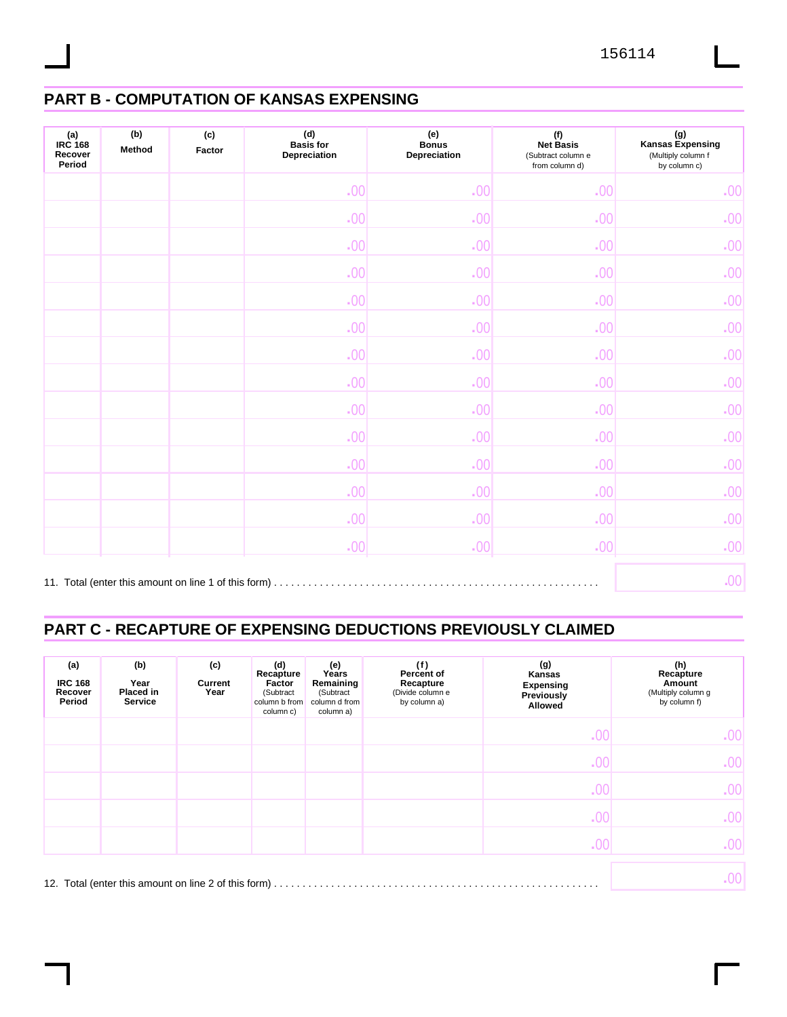# **PART B - COMPUTATION OF KANSAS EXPENSING**

| (a)<br>IRC 168<br>Recover<br>Period | (b)<br>Method | (c)<br>Factor                                        | (d)<br>Basis for<br>Depreciation | (e)<br><b>Bonus</b><br>Depreciation | (f)<br><b>Net Basis</b><br>(Subtract column e<br>from column d) | (g)<br>Kansas Expensing<br>(Multiply column f<br>by column c) |
|-------------------------------------|---------------|------------------------------------------------------|----------------------------------|-------------------------------------|-----------------------------------------------------------------|---------------------------------------------------------------|
|                                     |               |                                                      | .00                              | .00                                 | .00                                                             | .00                                                           |
|                                     |               |                                                      | .00                              | .00                                 | .00                                                             | .00                                                           |
|                                     |               |                                                      | .00                              | $-00$                               | $-00$                                                           | .00                                                           |
|                                     |               |                                                      | .00                              | .00                                 | .00                                                             | .00                                                           |
|                                     |               |                                                      | .00                              | .00                                 | .00                                                             | .00                                                           |
|                                     |               |                                                      | .00                              | .00                                 | .00                                                             | .00                                                           |
|                                     |               |                                                      | .00                              | .00                                 | .00                                                             | .00                                                           |
|                                     |               |                                                      | .00                              | .00                                 | .00                                                             | .00                                                           |
|                                     |               |                                                      | .00                              | .00                                 | .00                                                             | .00                                                           |
|                                     |               |                                                      | .00                              | .00                                 | .00                                                             | .00                                                           |
|                                     |               |                                                      | .00                              | .00                                 | .00                                                             | .00                                                           |
|                                     |               |                                                      | .00                              | .00                                 | .00                                                             | .00                                                           |
|                                     |               |                                                      | .00                              | .00                                 | .00                                                             | .00 <sub>1</sub>                                              |
|                                     |               |                                                      | .00                              | .00                                 | .00                                                             | .00                                                           |
|                                     |               | 11. Total (enter this amount on line 1 of this form) |                                  |                                     |                                                                 | .00 <sub>1</sub>                                              |

## **PART C - RECAPTURE OF EXPENSING DEDUCTIONS PREVIOUSLY CLAIMED**

| (a)<br><b>IRC 168</b><br>Recover<br>Period | (b)<br>Year<br>Placed in<br><b>Service</b> | (c)<br>Current<br>Year | (d)<br>Recapture<br>Factor<br>(Subtract<br>column b from<br>column c) | (e)<br>Years<br>Remaining<br>(Subtract<br>column d from<br>column a) | (f)<br>Percent of<br>Recapture<br>(Divide column e<br>by column a) | (g)<br>Kansas<br><b>Expensing</b><br>Previously<br>Allowed | (h)<br>Recapture<br>Amount<br>(Multiply column g<br>by column f) |
|--------------------------------------------|--------------------------------------------|------------------------|-----------------------------------------------------------------------|----------------------------------------------------------------------|--------------------------------------------------------------------|------------------------------------------------------------|------------------------------------------------------------------|
|                                            |                                            |                        |                                                                       |                                                                      |                                                                    | .00                                                        | .00 <sub>1</sub>                                                 |
|                                            |                                            |                        |                                                                       |                                                                      |                                                                    | .00                                                        | .00                                                              |
|                                            |                                            |                        |                                                                       |                                                                      |                                                                    | .00                                                        | .00                                                              |
|                                            |                                            |                        |                                                                       |                                                                      |                                                                    | .00                                                        | .00 <sub>1</sub>                                                 |
|                                            |                                            |                        |                                                                       |                                                                      |                                                                    | .00                                                        | .00                                                              |
|                                            |                                            |                        |                                                                       |                                                                      |                                                                    |                                                            | .00                                                              |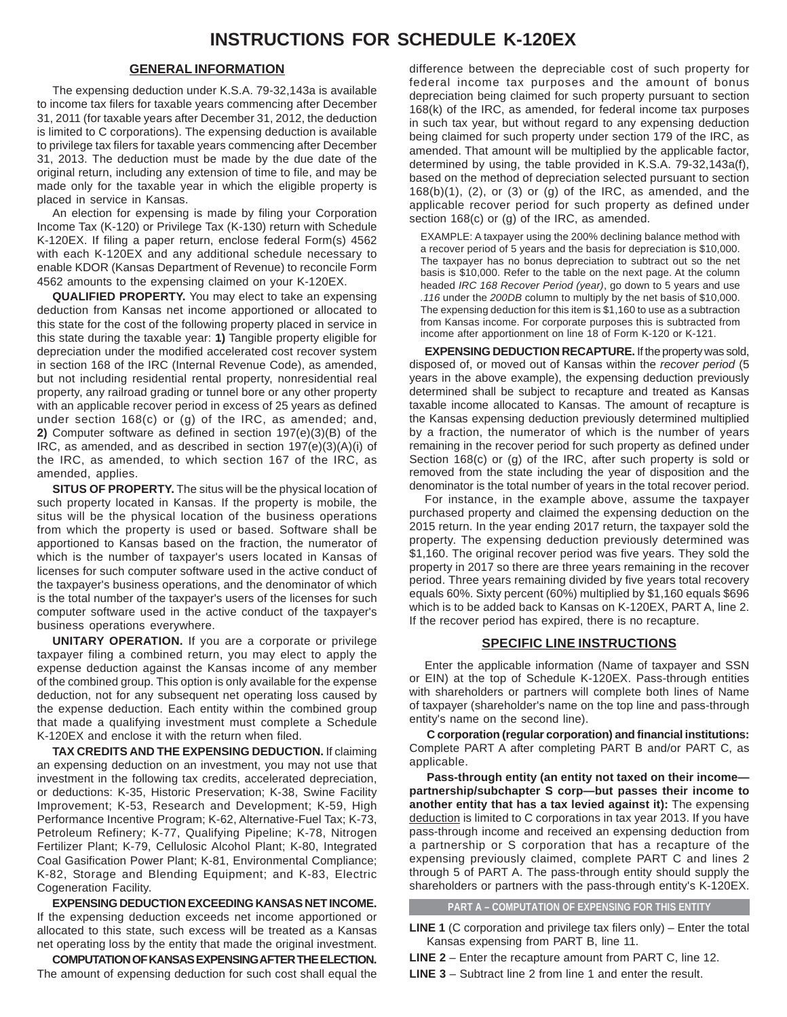#### **GENERAL INFORMATION**

The expensing deduction under K.S.A. 79-32,143a is available to income tax filers for taxable years commencing after December 31, 2011 (for taxable years after December 31, 2012, the deduction is limited to C corporations). The expensing deduction is available to privilege tax filers for taxable years commencing after December 31, 2013. The deduction must be made by the due date of the original return, including any extension of time to file, and may be made only for the taxable year in which the eligible property is placed in service in Kansas.

An election for expensing is made by filing your Corporation Income Tax (K-120) or Privilege Tax (K-130) return with Schedule K-120EX. If filing a paper return, enclose federal Form(s) 4562 with each K-120EX and any additional schedule necessary to enable KDOR (Kansas Department of Revenue) to reconcile Form 4562 amounts to the expensing claimed on your K-120EX.

**QUALIFIED PROPERTY.** You may elect to take an expensing deduction from Kansas net income apportioned or allocated to this state for the cost of the following property placed in service in this state during the taxable year: **1)** Tangible property eligible for depreciation under the modified accelerated cost recover system in section 168 of the IRC (Internal Revenue Code), as amended, but not including residential rental property, nonresidential real property, any railroad grading or tunnel bore or any other property with an applicable recover period in excess of 25 years as defined under section 168(c) or (g) of the IRC, as amended; and, **2)** Computer software as defined in section 197(e)(3)(B) of the IRC, as amended, and as described in section 197(e)(3)(A)(i) of the IRC, as amended, to which section 167 of the IRC, as amended, applies.

**SITUS OF PROPERTY.** The situs will be the physical location of such property located in Kansas. If the property is mobile, the situs will be the physical location of the business operations from which the property is used or based. Software shall be apportioned to Kansas based on the fraction, the numerator of which is the number of taxpayer's users located in Kansas of licenses for such computer software used in the active conduct of the taxpayer's business operations, and the denominator of which is the total number of the taxpayer's users of the licenses for such computer software used in the active conduct of the taxpayer's business operations everywhere.

**UNITARY OPERATION.** If you are a corporate or privilege taxpayer filing a combined return, you may elect to apply the expense deduction against the Kansas income of any member of the combined group. This option is only available for the expense deduction, not for any subsequent net operating loss caused by the expense deduction. Each entity within the combined group that made a qualifying investment must complete a Schedule K-120EX and enclose it with the return when filed.

**TAX CREDITS AND THE EXPENSING DEDUCTION.** If claiming an expensing deduction on an investment, you may not use that investment in the following tax credits, accelerated depreciation, or deductions: K-35, Historic Preservation; K-38, Swine Facility Improvement; K-53, Research and Development; K-59, High Performance Incentive Program; K-62, Alternative-Fuel Tax; K-73, Petroleum Refinery; K-77, Qualifying Pipeline; K-78, Nitrogen Fertilizer Plant; K-79, Cellulosic Alcohol Plant; K-80, Integrated Coal Gasification Power Plant; K-81, Environmental Compliance; K-82, Storage and Blending Equipment; and K-83, Electric Cogeneration Facility.

**EXPENSING DEDUCTION EXCEEDING KANSAS NET INCOME.**  If the expensing deduction exceeds net income apportioned or allocated to this state, such excess will be treated as a Kansas net operating loss by the entity that made the original investment.

**COMPUTATION OF KANSAS EXPENSING AFTER THE ELECTION.**  The amount of expensing deduction for such cost shall equal the difference between the depreciable cost of such property for federal income tax purposes and the amount of bonus depreciation being claimed for such property pursuant to section 168(k) of the IRC, as amended, for federal income tax purposes in such tax year, but without regard to any expensing deduction being claimed for such property under section 179 of the IRC, as amended. That amount will be multiplied by the applicable factor, determined by using, the table provided in K.S.A. 79-32,143a(f), based on the method of depreciation selected pursuant to section 168(b)(1), (2), or (3) or (g) of the IRC, as amended, and the applicable recover period for such property as defined under section 168(c) or (g) of the IRC, as amended.

EXAMPLE: A taxpayer using the 200% declining balance method with a recover period of 5 years and the basis for depreciation is \$10,000. The taxpayer has no bonus depreciation to subtract out so the net basis is \$10,000. Refer to the table on the next page. At the column headed *IRC 168 Recover Period (year)*, go down to 5 years and use *.116* under the *200DB* column to multiply by the net basis of \$10,000. The expensing deduction for this item is \$1,160 to use as a subtraction from Kansas income. For corporate purposes this is subtracted from income after apportionment on line 18 of Form K-120 or K-121.

**EXPENSING DEDUCTION RECAPTURE.** If the property was sold, disposed of, or moved out of Kansas within the *recover period* (5 years in the above example), the expensing deduction previously determined shall be subject to recapture and treated as Kansas taxable income allocated to Kansas. The amount of recapture is the Kansas expensing deduction previously determined multiplied by a fraction, the numerator of which is the number of years remaining in the recover period for such property as defined under Section 168(c) or (g) of the IRC, after such property is sold or removed from the state including the year of disposition and the denominator is the total number of years in the total recover period.

For instance, in the example above, assume the taxpayer purchased property and claimed the expensing deduction on the 2015 return. In the year ending 2017 return, the taxpayer sold the property. The expensing deduction previously determined was \$1,160. The original recover period was five years. They sold the property in 2017 so there are three years remaining in the recover period. Three years remaining divided by five years total recovery equals 60%. Sixty percent (60%) multiplied by \$1,160 equals \$696 which is to be added back to Kansas on K-120EX, PART A, line 2. If the recover period has expired, there is no recapture.

### **SPECIFIC LINE INSTRUCTIONS**

Enter the applicable information (Name of taxpayer and SSN or EIN) at the top of Schedule K-120EX. Pass-through entities with shareholders or partners will complete both lines of Name of taxpayer (shareholder's name on the top line and pass-through entity's name on the second line).

**C corporation (regular corporation) and financial institutions:**  Complete PART A after completing PART B and/or PART C, as applicable.

**Pass-through entity (an entity not taxed on their income partnership/subchapter S corp—but passes their income to another entity that has a tax levied against it):** The expensing deduction is limited to C corporations in tax year 2013. If you have pass-through income and received an expensing deduction from a partnership or S corporation that has a recapture of the expensing previously claimed, complete PART C and lines 2 through 5 of PART A. The pass-through entity should supply the shareholders or partners with the pass-through entity's K-120EX.

**PART A – COMPUTATION OF EXPENSING FOR THIS ENTITY** 

**LINE 1** (C corporation and privilege tax filers only) – Enter the total Kansas expensing from PART B, line 11.

**LINE 2** – Enter the recapture amount from PART C, line 12.

**LINE 3** – Subtract line 2 from line 1 and enter the result.